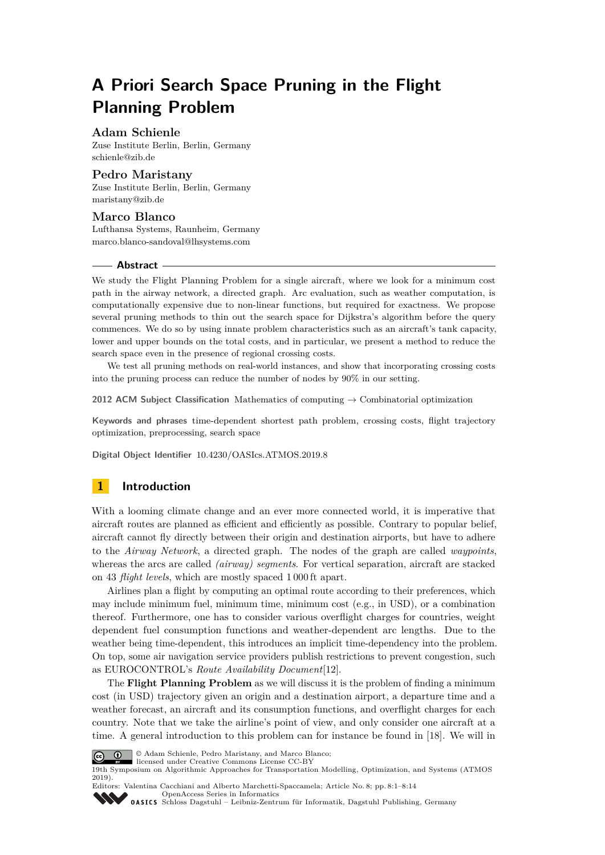# **A Priori Search Space Pruning in the Flight Planning Problem**

### **Adam Schienle**

Zuse Institute Berlin, Berlin, Germany [schienle@zib.de](mailto:schienle@zib.de)

## **Pedro Maristany**

Zuse Institute Berlin, Berlin, Germany [maristany@zib.de](mailto:maristany@zib.de)

## **Marco Blanco**

Lufthansa Systems, Raunheim, Germany [marco.blanco-sandoval@lhsystems.com](mailto:marco.blanco-sandoval@lhsystems.com)

#### **Abstract**

We study the Flight Planning Problem for a single aircraft, where we look for a minimum cost path in the airway network, a directed graph. Arc evaluation, such as weather computation, is computationally expensive due to non-linear functions, but required for exactness. We propose several pruning methods to thin out the search space for Dijkstra's algorithm before the query commences. We do so by using innate problem characteristics such as an aircraft's tank capacity, lower and upper bounds on the total costs, and in particular, we present a method to reduce the search space even in the presence of regional crossing costs.

We test all pruning methods on real-world instances, and show that incorporating crossing costs into the pruning process can reduce the number of nodes by 90% in our setting.

**2012 ACM Subject Classification** Mathematics of computing → Combinatorial optimization

**Keywords and phrases** time-dependent shortest path problem, crossing costs, flight trajectory optimization, preprocessing, search space

**Digital Object Identifier** [10.4230/OASIcs.ATMOS.2019.8](https://doi.org/10.4230/OASIcs.ATMOS.2019.8)

# **1 Introduction**

With a looming climate change and an ever more connected world, it is imperative that aircraft routes are planned as efficient and efficiently as possible. Contrary to popular belief, aircraft cannot fly directly between their origin and destination airports, but have to adhere to the *Airway Network*, a directed graph. The nodes of the graph are called *waypoints*, whereas the arcs are called *(airway) segments*. For vertical separation, aircraft are stacked on 43 *flight levels*, which are mostly spaced 1 000 ft apart.

Airlines plan a flight by computing an optimal route according to their preferences, which may include minimum fuel, minimum time, minimum cost (e.g., in USD), or a combination thereof. Furthermore, one has to consider various overflight charges for countries, weight dependent fuel consumption functions and weather-dependent arc lengths. Due to the weather being time-dependent, this introduces an implicit time-dependency into the problem. On top, some air navigation service providers publish restrictions to prevent congestion, such as EUROCONTROL's *Route Availability Document*[\[12\]](#page-12-0).

The **Flight Planning Problem** as we will discuss it is the problem of finding a minimum cost (in USD) trajectory given an origin and a destination airport, a departure time and a weather forecast, an aircraft and its consumption functions, and overflight charges for each country. Note that we take the airline's point of view, and only consider one aircraft at a time. A general introduction to this problem can for instance be found in [\[18\]](#page-13-0). We will in



© Adam Schienle, Pedro Maristany, and Marco Blanco; licensed under Creative Commons License CC-BY

19th Symposium on Algorithmic Approaches for Transportation Modelling, Optimization, and Systems (ATMOS 2019).

Editors: Valentina Cacchiani and Alberto Marchetti-Spaccamela; Article No. 8; pp. 8:1–8[:14](#page-13-1) [OpenAccess Series in Informatics](https://www.dagstuhl.de/oasics/)

OASICS [Schloss Dagstuhl – Leibniz-Zentrum für Informatik, Dagstuhl Publishing, Germany](https://www.dagstuhl.de)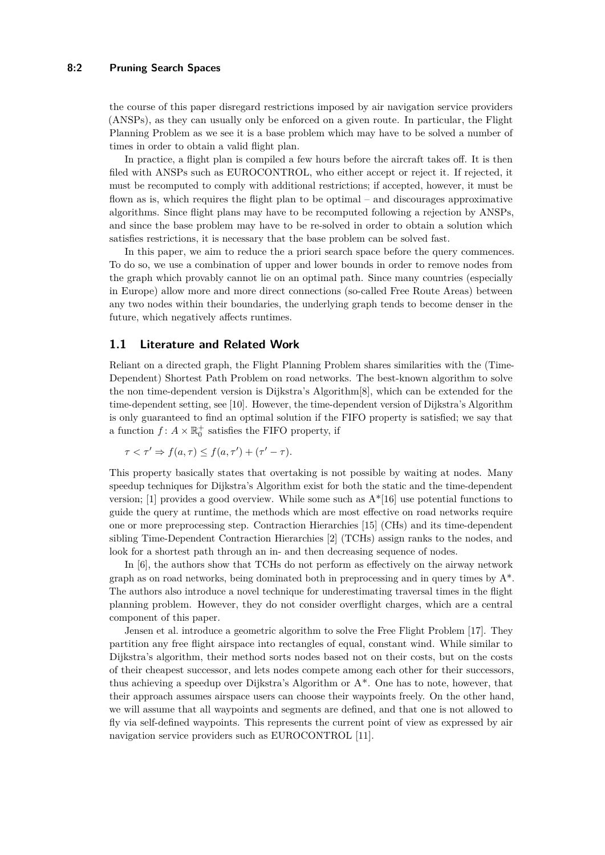## **8:2 Pruning Search Spaces**

the course of this paper disregard restrictions imposed by air navigation service providers (ANSPs), as they can usually only be enforced on a given route. In particular, the Flight Planning Problem as we see it is a base problem which may have to be solved a number of times in order to obtain a valid flight plan.

In practice, a flight plan is compiled a few hours before the aircraft takes off. It is then filed with ANSPs such as EUROCONTROL, who either accept or reject it. If rejected, it must be recomputed to comply with additional restrictions; if accepted, however, it must be flown as is, which requires the flight plan to be optimal – and discourages approximative algorithms. Since flight plans may have to be recomputed following a rejection by ANSPs, and since the base problem may have to be re-solved in order to obtain a solution which satisfies restrictions, it is necessary that the base problem can be solved fast.

In this paper, we aim to reduce the a priori search space before the query commences. To do so, we use a combination of upper and lower bounds in order to remove nodes from the graph which provably cannot lie on an optimal path. Since many countries (especially in Europe) allow more and more direct connections (so-called Free Route Areas) between any two nodes within their boundaries, the underlying graph tends to become denser in the future, which negatively affects runtimes.

### **1.1 Literature and Related Work**

Reliant on a directed graph, the Flight Planning Problem shares similarities with the (Time-Dependent) Shortest Path Problem on road networks. The best-known algorithm to solve the non time-dependent version is Dijkstra's Algorithm[\[8\]](#page-12-1), which can be extended for the time-dependent setting, see [\[10\]](#page-12-2). However, the time-dependent version of Dijkstra's Algorithm is only guaranteed to find an optimal solution if the FIFO property is satisfied; we say that a function  $f: A \times \mathbb{R}_0^+$  satisfies the FIFO property, if

$$
\tau < \tau' \Rightarrow f(a, \tau) \le f(a, \tau') + (\tau' - \tau).
$$

This property basically states that overtaking is not possible by waiting at nodes. Many speedup techniques for Dijkstra's Algorithm exist for both the static and the time-dependent version; [\[1\]](#page-12-3) provides a good overview. While some such as  $A^*[16]$  $A^*[16]$  use potential functions to guide the query at runtime, the methods which are most effective on road networks require one or more preprocessing step. Contraction Hierarchies [\[15\]](#page-12-5) (CHs) and its time-dependent sibling Time-Dependent Contraction Hierarchies [\[2\]](#page-12-6) (TCHs) assign ranks to the nodes, and look for a shortest path through an in- and then decreasing sequence of nodes.

In [\[6\]](#page-12-7), the authors show that TCHs do not perform as effectively on the airway network graph as on road networks, being dominated both in preprocessing and in query times by  $A^*$ . The authors also introduce a novel technique for underestimating traversal times in the flight planning problem. However, they do not consider overflight charges, which are a central component of this paper.

Jensen et al. introduce a geometric algorithm to solve the Free Flight Problem [\[17\]](#page-12-8). They partition any free flight airspace into rectangles of equal, constant wind. While similar to Dijkstra's algorithm, their method sorts nodes based not on their costs, but on the costs of their cheapest successor, and lets nodes compete among each other for their successors, thus achieving a speedup over Dijkstra's Algorithm or  $A^*$ . One has to note, however, that their approach assumes airspace users can choose their waypoints freely. On the other hand, we will assume that all waypoints and segments are defined, and that one is not allowed to fly via self-defined waypoints. This represents the current point of view as expressed by air navigation service providers such as EUROCONTROL [\[11\]](#page-12-9).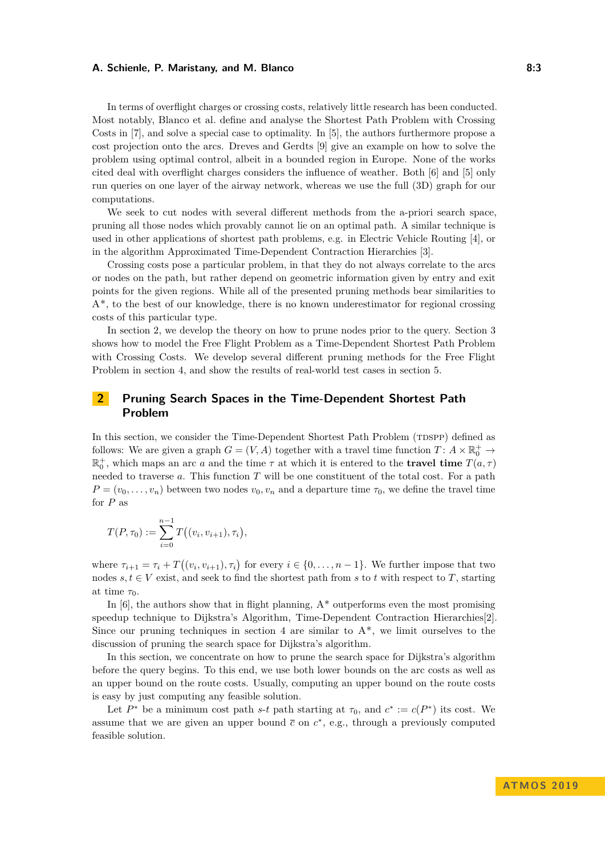In terms of overflight charges or crossing costs, relatively little research has been conducted. Most notably, Blanco et al. define and analyse the Shortest Path Problem with Crossing Costs in [\[7\]](#page-12-10), and solve a special case to optimality. In [\[5\]](#page-12-11), the authors furthermore propose a cost projection onto the arcs. Dreves and Gerdts [\[9\]](#page-12-12) give an example on how to solve the problem using optimal control, albeit in a bounded region in Europe. None of the works cited deal with overflight charges considers the influence of weather. Both [\[6\]](#page-12-7) and [\[5\]](#page-12-11) only run queries on one layer of the airway network, whereas we use the full (3D) graph for our computations.

We seek to cut nodes with several different methods from the a-priori search space, pruning all those nodes which provably cannot lie on an optimal path. A similar technique is used in other applications of shortest path problems, e.g. in Electric Vehicle Routing [\[4\]](#page-12-13), or in the algorithm Approximated Time-Dependent Contraction Hierarchies [\[3\]](#page-12-14).

Crossing costs pose a particular problem, in that they do not always correlate to the arcs or nodes on the path, but rather depend on geometric information given by entry and exit points for the given regions. While all of the presented pruning methods bear similarities to A\*, to the best of our knowledge, there is no known underestimator for regional crossing costs of this particular type.

In section [2,](#page-2-0) we develop the theory on how to prune nodes prior to the query. Section [3](#page-4-0) shows how to model the Free Flight Problem as a Time-Dependent Shortest Path Problem with Crossing Costs. We develop several different pruning methods for the Free Flight Problem in section [4,](#page-6-0) and show the results of real-world test cases in section [5.](#page-9-0)

# <span id="page-2-0"></span>**2 Pruning Search Spaces in the Time-Dependent Shortest Path Problem**

In this section, we consider the Time-Dependent Shortest Path Problem (TDSPP) defined as follows: We are given a graph  $G = (V, A)$  together with a travel time function  $T: A \times \mathbb{R}_0^+ \to$  $\mathbb{R}_0^+$ , which maps an arc *a* and the time  $\tau$  at which it is entered to the **travel time**  $T(a, \tau)$ needed to traverse *a*. This function *T* will be one constituent of the total cost. For a path  $P = (v_0, \ldots, v_n)$  between two nodes  $v_0, v_n$  and a departure time  $\tau_0$ , we define the travel time for *P* as

$$
T(P, \tau_0) := \sum_{i=0}^{n-1} T((v_i, v_{i+1}), \tau_i),
$$

where  $\tau_{i+1} = \tau_i + T((v_i, v_{i+1}), \tau_i)$  for every  $i \in \{0, \ldots, n-1\}$ . We further impose that two nodes  $s, t \in V$  exist, and seek to find the shortest path from *s* to *t* with respect to *T*, starting at time  $\tau_0$ .

In  $[6]$ , the authors show that in flight planning,  $A^*$  outperforms even the most promising speedup technique to Dijkstra's Algorithm, Time-Dependent Contraction Hierarchies[\[2\]](#page-12-6). Since our pruning techniques in section [4](#page-6-0) are similar to  $A^*$ , we limit ourselves to the discussion of pruning the search space for Dijkstra's algorithm.

In this section, we concentrate on how to prune the search space for Dijkstra's algorithm before the query begins. To this end, we use both lower bounds on the arc costs as well as an upper bound on the route costs. Usually, computing an upper bound on the route costs is easy by just computing any feasible solution.

<span id="page-2-1"></span>Let  $P^*$  be a minimum cost path *s*-*t* path starting at  $\tau_0$ , and  $c^* := c(P^*)$  its cost. We assume that we are given an upper bound  $\bar{c}$  on  $c^*$ , e.g., through a previously computed feasible solution.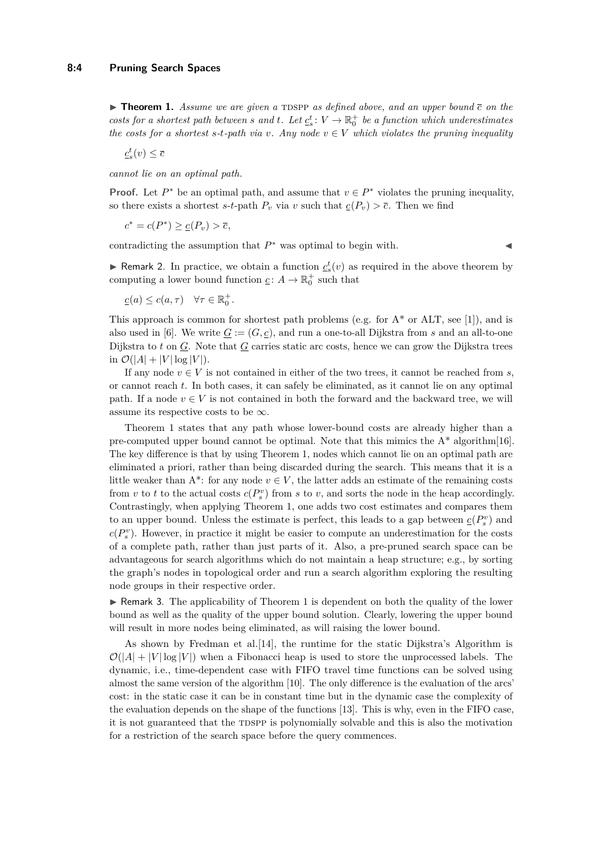$\triangleright$  **Theorem 1.** Assume we are given a TDSPP as defined above, and an upper bound  $\bar{c}$  on the *costs for a shortest path between s* and *t.* Let  $\underline{c}_s^t$ :  $V \to \mathbb{R}_0^+$  *be a function which underestimates the costs for a shortest s-t-path via v. Any node*  $v \in V$  *which violates the pruning inequality* 

 $\underline{c}^t_s(v) \leq \overline{c}$ 

*cannot lie on an optimal path.*

**Proof.** Let  $P^*$  be an optimal path, and assume that  $v \in P^*$  violates the pruning inequality, so there exists a shortest *s*-*t*-path  $P_v$  via *v* such that  $\underline{c}(P_v) > \overline{c}$ . Then we find

$$
c^* = c(P^*) \ge \underline{c}(P_v) > \overline{c},
$$

contradicting the assumption that  $P^*$  was optimal to begin with.

► Remark 2. In practice, we obtain a function  $c_s^t(v)$  as required in the above theorem by computing a lower bound function  $\underline{c}$ :  $A \to \mathbb{R}^+_0$  such that

$$
\underline{c}(a) \leq c(a, \tau) \quad \forall \tau \in \mathbb{R}_0^+.
$$

This approach is common for shortest path problems (e.g. for  $A^*$  or ALT, see [\[1\]](#page-12-3)), and is also used in [\[6\]](#page-12-7). We write  $G := (G, \underline{c})$ , and run a one-to-all Dijkstra from *s* and an all-to-one Dijkstra to *t* on <u>*G*</u>. Note that <u>*G*</u> carries static arc costs, hence we can grow the Dijkstra trees in  $\mathcal{O}(|A| + |V| \log |V|)$ .

If any node  $v \in V$  is not contained in either of the two trees, it cannot be reached from *s*, or cannot reach *t*. In both cases, it can safely be eliminated, as it cannot lie on any optimal path. If a node  $v \in V$  is not contained in both the forward and the backward tree, we will assume its respective costs to be  $\infty$ .

Theorem [1](#page-2-1) states that any path whose lower-bound costs are already higher than a pre-computed upper bound cannot be optimal. Note that this mimics the  $A^*$  algorithm [\[16\]](#page-12-4). The key difference is that by using Theorem [1,](#page-2-1) nodes which cannot lie on an optimal path are eliminated a priori, rather than being discarded during the search. This means that it is a little weaker than  $A^*$ : for any node  $v \in V$ , the latter adds an estimate of the remaining costs from *v* to *t* to the actual costs  $c(P_s^v)$  from *s* to *v*, and sorts the node in the heap accordingly. Contrastingly, when applying Theorem [1,](#page-2-1) one adds two cost estimates and compares them to an upper bound. Unless the estimate is perfect, this leads to a gap between  $\underline{c}(P_s^v)$  and  $c(P_s^v)$ . However, in practice it might be easier to compute an underestimation for the costs of a complete path, rather than just parts of it. Also, a pre-pruned search space can be advantageous for search algorithms which do not maintain a heap structure; e.g., by sorting the graph's nodes in topological order and run a search algorithm exploring the resulting node groups in their respective order.

 $\blacktriangleright$  Remark 3. The applicability of Theorem [1](#page-2-1) is dependent on both the quality of the lower bound as well as the quality of the upper bound solution. Clearly, lowering the upper bound will result in more nodes being eliminated, as will raising the lower bound.

As shown by Fredman et al.[\[14\]](#page-12-15), the runtime for the static Dijkstra's Algorithm is  $\mathcal{O}(|A| + |V| \log |V|)$  when a Fibonacci heap is used to store the unprocessed labels. The dynamic, i.e., time-dependent case with FIFO travel time functions can be solved using almost the same version of the algorithm [\[10\]](#page-12-2). The only difference is the evaluation of the arcs' cost: in the static case it can be in constant time but in the dynamic case the complexity of the evaluation depends on the shape of the functions [\[13\]](#page-12-16). This is why, even in the FIFO case, it is not guaranteed that the TDSPP is polynomially solvable and this is also the motivation for a restriction of the search space before the query commences.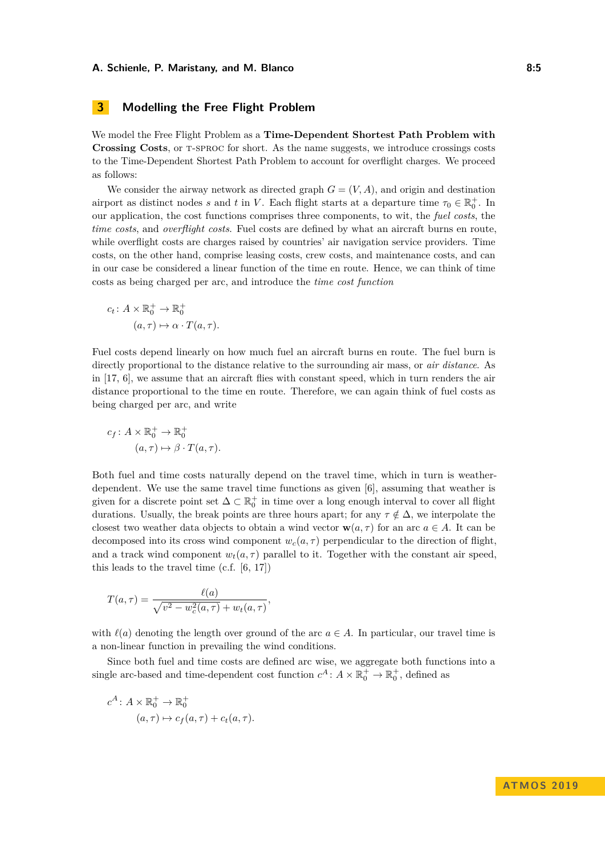# <span id="page-4-0"></span>**3 Modelling the Free Flight Problem**

We model the Free Flight Problem as a **Time-Dependent Shortest Path Problem with Crossing Costs**, or t-sproc for short. As the name suggests, we introduce crossings costs to the Time-Dependent Shortest Path Problem to account for overflight charges. We proceed as follows:

We consider the airway network as directed graph  $G = (V, A)$ , and origin and destination airport as distinct nodes *s* and *t* in *V*. Each flight starts at a departure time  $\tau_0 \in \mathbb{R}_0^+$ . In our application, the cost functions comprises three components, to wit, the *fuel costs*, the *time costs*, and *overflight costs*. Fuel costs are defined by what an aircraft burns en route, while overflight costs are charges raised by countries' air navigation service providers. Time costs, on the other hand, comprise leasing costs, crew costs, and maintenance costs, and can in our case be considered a linear function of the time en route. Hence, we can think of time costs as being charged per arc, and introduce the *time cost function*

$$
c_t: A \times \mathbb{R}_0^+ \to \mathbb{R}_0^+
$$

$$
(a, \tau) \mapsto \alpha \cdot T(a, \tau).
$$

Fuel costs depend linearly on how much fuel an aircraft burns en route. The fuel burn is directly proportional to the distance relative to the surrounding air mass, or *air distance*. As in [\[17,](#page-12-8) [6\]](#page-12-7), we assume that an aircraft flies with constant speed, which in turn renders the air distance proportional to the time en route. Therefore, we can again think of fuel costs as being charged per arc, and write

$$
c_f: A \times \mathbb{R}_0^+ \to \mathbb{R}_0^+
$$

$$
(a, \tau) \mapsto \beta \cdot T(a, \tau).
$$

Both fuel and time costs naturally depend on the travel time, which in turn is weatherdependent. We use the same travel time functions as given [\[6\]](#page-12-7), assuming that weather is given for a discrete point set  $\Delta \subset \mathbb{R}_0^+$  in time over a long enough interval to cover all flight durations. Usually, the break points are three hours apart; for any  $\tau \notin \Delta$ , we interpolate the closest two weather data objects to obtain a wind vector  $\mathbf{w}(a, \tau)$  for an arc  $a \in A$ . It can be decomposed into its cross wind component  $w_c(a, \tau)$  perpendicular to the direction of flight. and a track wind component  $w_t(a, \tau)$  parallel to it. Together with the constant air speed, this leads to the travel time (c.f. [\[6,](#page-12-7) [17\]](#page-12-8))

$$
T(a,\tau) = \frac{\ell(a)}{\sqrt{v^2 - w_c^2(a,\tau)} + w_t(a,\tau)},
$$

with  $\ell(a)$  denoting the length over ground of the arc  $a \in A$ . In particular, our travel time is a non-linear function in prevailing the wind conditions.

Since both fuel and time costs are defined arc wise, we aggregate both functions into a single arc-based and time-dependent cost function  $c^A$ :  $A \times \mathbb{R}_0^+$   $\to \mathbb{R}_0^+$ , defined as

$$
c^{A} \colon A \times \mathbb{R}_{0}^{+} \to \mathbb{R}_{0}^{+}
$$

$$
(a, \tau) \mapsto c_{f}(a, \tau) + c_{t}(a, \tau).
$$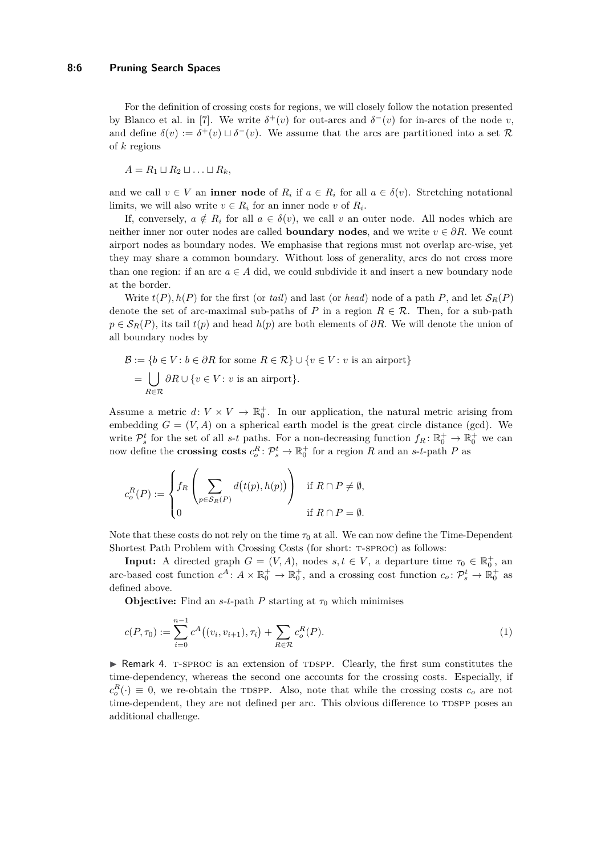For the definition of crossing costs for regions, we will closely follow the notation presented by Blanco et al. in [\[7\]](#page-12-10). We write  $\delta^+(v)$  for out-arcs and  $\delta^-(v)$  for in-arcs of the node *v*, and define  $\delta(v) := \delta^+(v) \sqcup \delta^-(v)$ . We assume that the arcs are partitioned into a set R of *k* regions

 $A = R_1 \sqcup R_2 \sqcup \ldots \sqcup R_k$ 

and we call  $v \in V$  an **inner node** of  $R_i$  if  $a \in R_i$  for all  $a \in \delta(v)$ . Stretching notational limits, we will also write  $v \in R_i$  for an inner node  $v$  of  $R_i$ .

If, conversely,  $a \notin R_i$  for all  $a \in \delta(v)$ , we call v an outer node. All nodes which are neither inner nor outer nodes are called **boundary nodes**, and we write  $v \in \partial R$ . We count airport nodes as boundary nodes. We emphasise that regions must not overlap arc-wise, yet they may share a common boundary. Without loss of generality, arcs do not cross more than one region: if an arc  $a \in A$  did, we could subdivide it and insert a new boundary node at the border.

Write  $t(P)$ ,  $h(P)$  for the first (or *tail*) and last (or *head*) node of a path P, and let  $S_R(P)$ denote the set of arc-maximal sub-paths of *P* in a region  $R \in \mathcal{R}$ . Then, for a sub-path  $p \in S_R(P)$ , its tail  $t(p)$  and head  $h(p)$  are both elements of  $\partial R$ . We will denote the union of all boundary nodes by

$$
\mathcal{B} := \{ b \in V : b \in \partial R \text{ for some } R \in \mathcal{R} \} \cup \{ v \in V : v \text{ is an airport} \}
$$

$$
= \bigcup_{R \in \mathcal{R}} \partial R \cup \{ v \in V : v \text{ is an airport} \}.
$$

Assume a metric  $d: V \times V \to \mathbb{R}_0^+$ . In our application, the natural metric arising from embedding  $G = (V, A)$  on a spherical earth model is the great circle distance (gcd). We write  $\mathcal{P}_s^t$  for the set of all *s*-*t* paths. For a non-decreasing function  $f_R: \mathbb{R}_0^+ \to \mathbb{R}_0^+$  we can now define the **crossing costs**  $c_o^R: \mathcal{P}_s^t \to \mathbb{R}_0^+$  for a region *R* and an *s*-*t*-path *P* as

$$
c_o^R(P) := \begin{cases} f_R\left(\sum_{p \in \mathcal{S}_R(P)} d\big(t(p), h(p)\big)\right) & \text{if } R \cap P \neq \emptyset, \\ 0 & \text{if } R \cap P = \emptyset. \end{cases}
$$

Note that these costs do not rely on the time  $\tau_0$  at all. We can now define the Time-Dependent Shortest Path Problem with Crossing Costs (for short: T-SPROC) as follows:

**Input:** A directed graph  $G = (V, A)$ , nodes  $s, t \in V$ , a departure time  $\tau_0 \in \mathbb{R}_0^+$ , and arc-based cost function  $c^A$ :  $A \times \mathbb{R}_0^+$   $\to \mathbb{R}_0^+$ , and a crossing cost function  $c_o \colon \mathcal{P}_s^t \to \mathbb{R}_0^+$  as defined above.

**Objective:** Find an *s*-*t*-path *P* starting at  $\tau_0$  which minimises

<span id="page-5-0"></span>
$$
c(P, \tau_0) := \sum_{i=0}^{n-1} c^A((v_i, v_{i+1}), \tau_i) + \sum_{R \in \mathcal{R}} c_o^R(P).
$$
 (1)

 $\triangleright$  Remark 4. T-SPROC is an extension of TDSPP. Clearly, the first sum constitutes the time-dependency, whereas the second one accounts for the crossing costs. Especially, if  $c_o^R(\cdot) \equiv 0$ , we re-obtain the TDSPP. Also, note that while the crossing costs  $c_o$  are not time-dependent, they are not defined per arc. This obvious difference to TDSPP poses an additional challenge.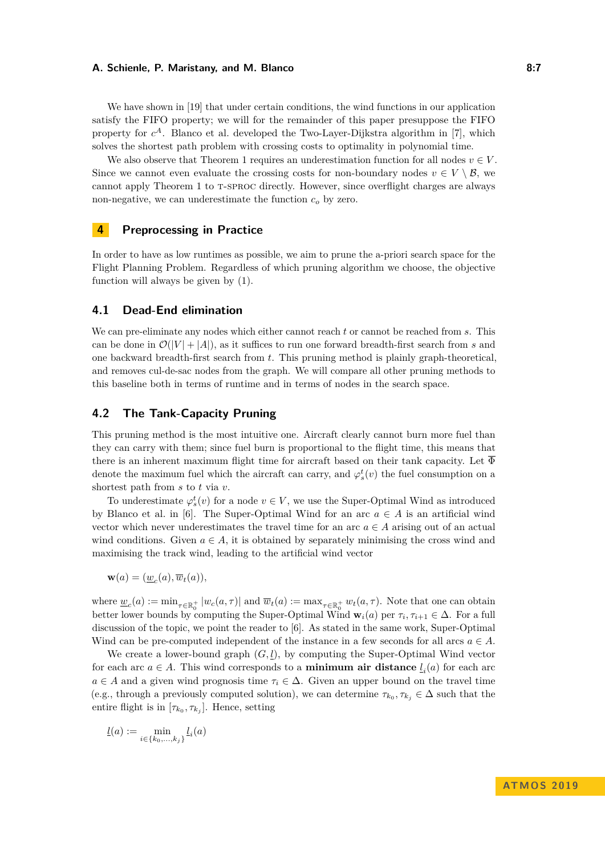We have shown in [\[19\]](#page-13-2) that under certain conditions, the wind functions in our application satisfy the FIFO property; we will for the remainder of this paper presuppose the FIFO property for  $c^A$ . Blanco et al. developed the Two-Layer-Dijkstra algorithm in [\[7\]](#page-12-10), which solves the shortest path problem with crossing costs to optimality in polynomial time.

We also observe that Theorem [1](#page-2-1) requires an underestimation function for all nodes  $v \in V$ . Since we cannot even evaluate the crossing costs for non-boundary nodes  $v \in V \setminus \mathcal{B}$ , we cannot apply Theorem [1](#page-2-1) to T-SPROC directly. However, since overflight charges are always non-negative, we can underestimate the function *c<sup>o</sup>* by zero.

## <span id="page-6-0"></span>**4 Preprocessing in Practice**

In order to have as low runtimes as possible, we aim to prune the a-priori search space for the Flight Planning Problem. Regardless of which pruning algorithm we choose, the objective function will always be given by [\(1\)](#page-5-0).

### **4.1 Dead-End elimination**

We can pre-eliminate any nodes which either cannot reach *t* or cannot be reached from *s*. This can be done in  $\mathcal{O}(|V| + |A|)$ , as it suffices to run one forward breadth-first search from *s* and one backward breadth-first search from *t*. This pruning method is plainly graph-theoretical, and removes cul-de-sac nodes from the graph. We will compare all other pruning methods to this baseline both in terms of runtime and in terms of nodes in the search space.

## **4.2 The Tank-Capacity Pruning**

This pruning method is the most intuitive one. Aircraft clearly cannot burn more fuel than they can carry with them; since fuel burn is proportional to the flight time, this means that there is an inherent maximum flight time for aircraft based on their tank capacity. Let  $\overline{\Phi}$ denote the maximum fuel which the aircraft can carry, and  $\varphi_s^t(v)$  the fuel consumption on a shortest path from *s* to *t* via *v*.

To underestimate  $\varphi_s^t(v)$  for a node  $v \in V$ , we use the Super-Optimal Wind as introduced by Blanco et al. in [\[6\]](#page-12-7). The Super-Optimal Wind for an arc  $a \in A$  is an artificial wind vector which never underestimates the travel time for an arc  $a \in A$  arising out of an actual wind conditions. Given  $a \in A$ , it is obtained by separately minimising the cross wind and maximising the track wind, leading to the artificial wind vector

 $\mathbf{w}(a) = (\underline{w}_c(a), \overline{w}_t(a)),$ 

where  $\underline{w}_c(a) := \min_{\tau \in \mathbb{R}_0^+} |w_c(a, \tau)|$  and  $\overline{w}_t(a) := \max_{\tau \in \mathbb{R}_0^+} w_t(a, \tau)$ . Note that one can obtain better lower bounds by computing the Super-Optimal Wind  $\mathbf{w}_i(a)$  per  $\tau_i, \tau_{i+1} \in \Delta$ . For a full discussion of the topic, we point the reader to [\[6\]](#page-12-7). As stated in the same work, Super-Optimal Wind can be pre-computed independent of the instance in a few seconds for all arcs  $a \in A$ .

We create a lower-bound graph  $(G, l)$ , by computing the Super-Optimal Wind vector for each arc  $a \in A$ . This wind corresponds to a **minimum air distance**  $l_i(a)$  for each arc  $a \in A$  and a given wind prognosis time  $\tau_i \in \Delta$ . Given an upper bound on the travel time (e.g., through a previously computed solution), we can determine  $\tau_{k_0}, \tau_{k_j} \in \Delta$  such that the entire flight is in  $[\tau_{k_0}, \tau_{k_j}]$ . Hence, setting

$$
\underline{l}(a) := \min_{i \in \{k_0, ..., k_j\}} \underline{l}_i(a)
$$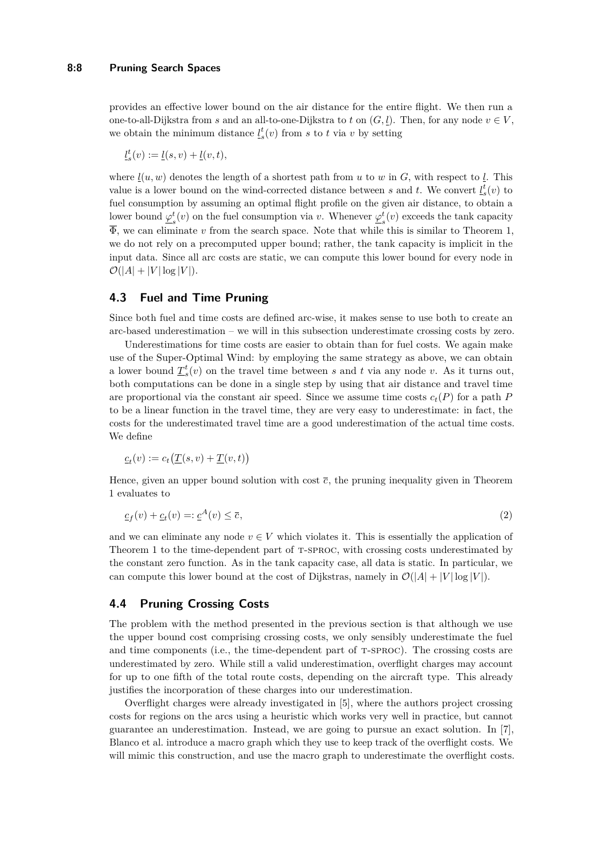provides an effective lower bound on the air distance for the entire flight. We then run a one-to-all-Dijkstra from *s* and an all-to-one-Dijkstra to *t* on  $(G, l)$ . Then, for any node  $v \in V$ , we obtain the minimum distance  $\underline{l}_s^t(v)$  from *s* to *t* via *v* by setting

 $l_s^t(v) := l(s, v) + l(v, t)$ ,

where  $l(u, w)$  denotes the length of a shortest path from *u* to *w* in *G*, with respect to *l*. This value is a lower bound on the wind-corrected distance between *s* and *t*. We convert  $l_s^t(v)$  to fuel consumption by assuming an optimal flight profile on the given air distance, to obtain a lower bound  $\varphi^t$  $s(t)$  on the fuel consumption via *v*. Whenever  $\varphi_s^t$  $s<sup>t</sup>(v)$  exceeds the tank capacity  $\overline{\Phi}$ , we can eliminate *v* from the search space. Note that while this is similar to Theorem [1,](#page-2-1) we do not rely on a precomputed upper bound; rather, the tank capacity is implicit in the input data. Since all arc costs are static, we can compute this lower bound for every node in  $\mathcal{O}(|A| + |V| \log |V|).$ 

# **4.3 Fuel and Time Pruning**

Since both fuel and time costs are defined arc-wise, it makes sense to use both to create an arc-based underestimation – we will in this subsection underestimate crossing costs by zero.

Underestimations for time costs are easier to obtain than for fuel costs. We again make use of the Super-Optimal Wind: by employing the same strategy as above, we can obtain a lower bound  $\underline{T}_{s}^{t}(v)$  on the travel time between *s* and *t* via any node *v*. As it turns out, both computations can be done in a single step by using that air distance and travel time are proportional via the constant air speed. Since we assume time costs  $c_t(P)$  for a path *P* to be a linear function in the travel time, they are very easy to underestimate: in fact, the costs for the underestimated travel time are a good underestimation of the actual time costs. We define

$$
\underline{c}_t(v) := c_t(\underline{T}(s,v) + \underline{T}(v,t))
$$

Hence, given an upper bound solution with cost  $\bar{c}$ , the pruning inequality given in Theorem [1](#page-2-1) evaluates to

$$
\underline{c}_f(v) + \underline{c}_t(v) = \underline{c}^A(v) \le \overline{c},\tag{2}
$$

and we can eliminate any node  $v \in V$  which violates it. This is essentially the application of Theorem [1](#page-2-1) to the time-dependent part of T-SPROC, with crossing costs underestimated by the constant zero function. As in the tank capacity case, all data is static. In particular, we can compute this lower bound at the cost of Dijkstras, namely in  $\mathcal{O}(|A| + |V| \log |V|)$ .

## **4.4 Pruning Crossing Costs**

The problem with the method presented in the previous section is that although we use the upper bound cost comprising crossing costs, we only sensibly underestimate the fuel and time components (i.e., the time-dependent part of T-SPROC). The crossing costs are underestimated by zero. While still a valid underestimation, overflight charges may account for up to one fifth of the total route costs, depending on the aircraft type. This already justifies the incorporation of these charges into our underestimation.

Overflight charges were already investigated in [\[5\]](#page-12-11), where the authors project crossing costs for regions on the arcs using a heuristic which works very well in practice, but cannot guarantee an underestimation. Instead, we are going to pursue an exact solution. In [\[7\]](#page-12-10), Blanco et al. introduce a macro graph which they use to keep track of the overflight costs. We will mimic this construction, and use the macro graph to underestimate the overflight costs.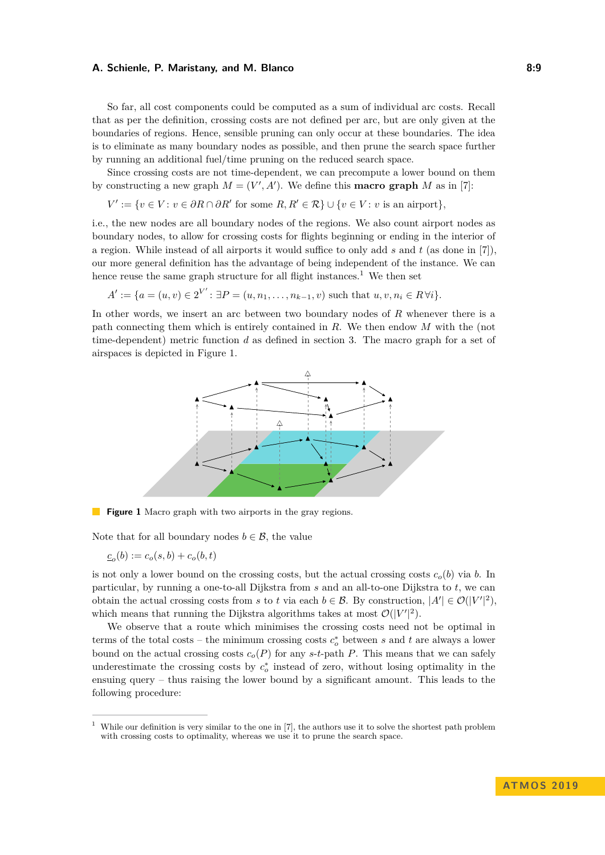So far, all cost components could be computed as a sum of individual arc costs. Recall that as per the definition, crossing costs are not defined per arc, but are only given at the boundaries of regions. Hence, sensible pruning can only occur at these boundaries. The idea is to eliminate as many boundary nodes as possible, and then prune the search space further by running an additional fuel/time pruning on the reduced search space.

Since crossing costs are not time-dependent, we can precompute a lower bound on them by constructing a new graph  $M = (V', A')$ . We define this **macro graph** M as in [\[7\]](#page-12-10):

$$
V' := \{ v \in V : v \in \partial R \cap \partial R' \text{ for some } R, R' \in \mathcal{R} \} \cup \{ v \in V : v \text{ is an airport} \},\
$$

i.e., the new nodes are all boundary nodes of the regions. We also count airport nodes as boundary nodes, to allow for crossing costs for flights beginning or ending in the interior of a region. While instead of all airports it would suffice to only add *s* and *t* (as done in [\[7\]](#page-12-10)), our more general definition has the advantage of being independent of the instance. We can hence reuse the same graph structure for all flight instances.<sup>[1](#page-8-0)</sup> We then set

$$
A' := \{ a = (u, v) \in 2^{V'} : \exists P = (u, n_1, \dots, n_{k-1}, v) \text{ such that } u, v, n_i \in R \,\forall i \}.
$$

<span id="page-8-1"></span>In other words, we insert an arc between two boundary nodes of *R* whenever there is a path connecting them which is entirely contained in *R*. We then endow *M* with the (not time-dependent) metric function *d* as defined in section [3.](#page-4-0) The macro graph for a set of airspaces is depicted in Figure [1.](#page-8-1)



**Figure 1** Macro graph with two airports in the gray regions.

Note that for all boundary nodes  $b \in \mathcal{B}$ , the value

 $c_o(b) := c_o(s, b) + c_o(b, t)$ 

is not only a lower bound on the crossing costs, but the actual crossing costs  $c<sub>o</sub>(b)$  via *b*. In particular, by running a one-to-all Dijkstra from *s* and an all-to-one Dijkstra to *t*, we can obtain the actual crossing costs from *s* to *t* via each  $b \in \mathcal{B}$ . By construction,  $|A'| \in \mathcal{O}(|V'|^2)$ , which means that running the Dijkstra algorithms takes at most  $\mathcal{O}(|V'|^2)$ .

We observe that a route which minimises the crossing costs need not be optimal in terms of the total costs – the minimum crossing costs  $c_o^*$  between *s* and *t* are always a lower bound on the actual crossing costs  $c_o(P)$  for any *s*-*t*-path *P*. This means that we can safely underestimate the crossing costs by  $c_o^*$  instead of zero, without losing optimality in the ensuing query – thus raising the lower bound by a significant amount. This leads to the following procedure:

<span id="page-8-0"></span><sup>1</sup> While our definition is very similar to the one in [\[7\]](#page-12-10), the authors use it to solve the shortest path problem with crossing costs to optimality, whereas we use it to prune the search space.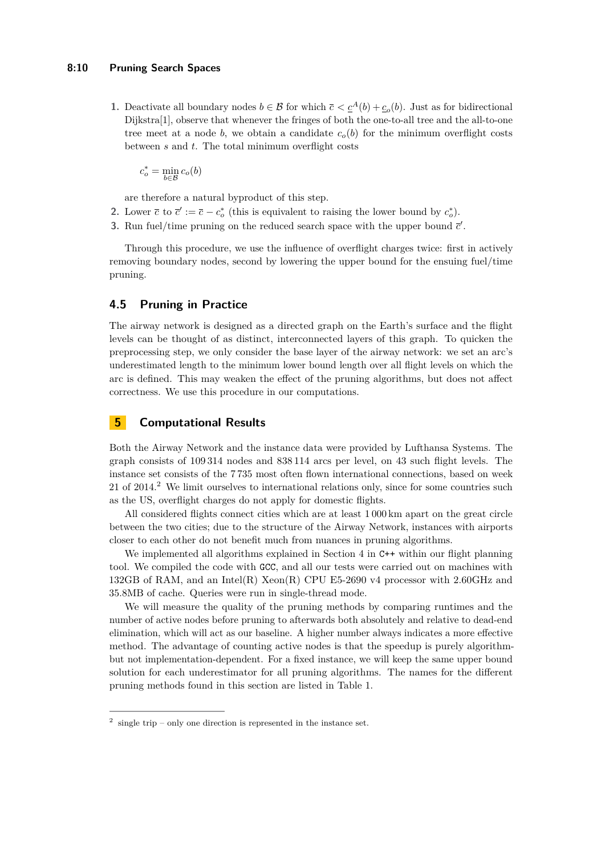#### **8:10 Pruning Search Spaces**

**1.** Deactivate all boundary nodes  $b \in \mathcal{B}$  for which  $\bar{c} < \underline{c}^A(b) + \underline{c}_o(b)$ . Just as for bidirectional Dijkstra[\[1\]](#page-12-3), observe that whenever the fringes of both the one-to-all tree and the all-to-one tree meet at a node *b*, we obtain a candidate  $c<sub>o</sub>(b)$  for the minimum overflight costs between *s* and *t*. The total minimum overflight costs

 $c_o^* = \min_{b \in \mathcal{B}} c_o(b)$ 

are therefore a natural byproduct of this step.

- **2.** Lower  $\bar{c}$  to  $\bar{c}' := \bar{c} c_o^*$  (this is equivalent to raising the lower bound by  $c_o^*$ ).
- **3.** Run fuel/time pruning on the reduced search space with the upper bound  $\vec{c}'$ .

Through this procedure, we use the influence of overflight charges twice: first in actively removing boundary nodes, second by lowering the upper bound for the ensuing fuel/time pruning.

# **4.5 Pruning in Practice**

The airway network is designed as a directed graph on the Earth's surface and the flight levels can be thought of as distinct, interconnected layers of this graph. To quicken the preprocessing step, we only consider the base layer of the airway network: we set an arc's underestimated length to the minimum lower bound length over all flight levels on which the arc is defined. This may weaken the effect of the pruning algorithms, but does not affect correctness. We use this procedure in our computations.

# <span id="page-9-0"></span>**5 Computational Results**

Both the Airway Network and the instance data were provided by Lufthansa Systems. The graph consists of 109 314 nodes and 838 114 arcs per level, on 43 such flight levels. The instance set consists of the 7 735 most often flown international connections, based on week [2](#page-9-1)1 of 2014.<sup>2</sup> We limit ourselves to international relations only, since for some countries such as the US, overflight charges do not apply for domestic flights.

All considered flights connect cities which are at least 1 000 km apart on the great circle between the two cities; due to the structure of the Airway Network, instances with airports closer to each other do not benefit much from nuances in pruning algorithms.

We implemented all algorithms explained in Section [4](#page-6-0) in  $C++$  within our flight planning tool. We compiled the code with GCC, and all our tests were carried out on machines with 132GB of RAM, and an Intel(R) Xeon(R) CPU E5-2690 v4 processor with 2.60GHz and 35.8MB of cache. Queries were run in single-thread mode.

We will measure the quality of the pruning methods by comparing runtimes and the number of active nodes before pruning to afterwards both absolutely and relative to dead-end elimination, which will act as our baseline. A higher number always indicates a more effective method. The advantage of counting active nodes is that the speedup is purely algorithmbut not implementation-dependent. For a fixed instance, we will keep the same upper bound solution for each underestimator for all pruning algorithms. The names for the different pruning methods found in this section are listed in Table [1.](#page-10-0)

<span id="page-9-1"></span> $2$  single trip – only one direction is represented in the instance set.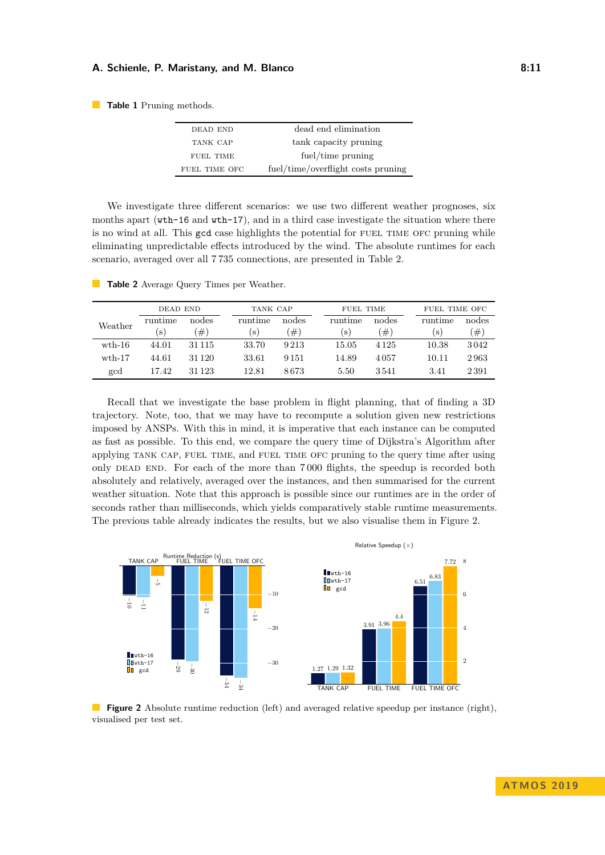#### **A. Schienle, P. Maristany, and M. Blanco 6:11 8:11 8:11**

<span id="page-10-0"></span>**Table 1** Pruning methods.

| DEAD END      | dead end elimination               |
|---------------|------------------------------------|
| TANK CAP      | tank capacity pruning              |
| FUEL TIME     | fuel/time pruning                  |
| FUEL TIME OFC | fuel/time/overflight costs pruning |

We investigate three different scenarios: we use two different weather prognoses, six months apart (wth-16 and wth-17), and in a third case investigate the situation where there is no wind at all. This gcd case highlights the potential for FUEL TIME OFC pruning while eliminating unpredictable effects introduced by the wind. The absolute runtimes for each scenario, averaged over all 7 735 connections, are presented in Table [2.](#page-10-1)

|                 | DEAD END |          |         | TANK CAP |              | <b>FUEL TIME</b> |         | FUEL TIME OFC |  |  |
|-----------------|----------|----------|---------|----------|--------------|------------------|---------|---------------|--|--|
| Weather         | runtime  | nodes    | runtime | nodes    | runtime      | nodes            | runtime | nodes         |  |  |
|                 | S        | $\#$ )   | S.      | $[\#]$   | $\mathbf{s}$ | $\#$             | S)      | #)            |  |  |
| $\text{wth-16}$ | 44.01    | 31 1 1 5 | 33.70   | 9213     | 15.05        | 4 1 2 5          | 10.38   | 3042          |  |  |
| $\text{wth-17}$ | 44.61    | 31 1 20  | 33.61   | 9 1 5 1  | 14.89        | 4057             | 10.11   | 2963          |  |  |
| gcd             | 17.42    | 31 1 23  | 12.81   | 8673     | 5.50         | 3541             | 3.41    | 2391          |  |  |
|                 |          |          |         |          |              |                  |         |               |  |  |

<span id="page-10-1"></span>**Table 2** Average Query Times per Weather.

Recall that we investigate the base problem in flight planning, that of finding a 3D trajectory. Note, too, that we may have to recompute a solution given new restrictions imposed by ANSPs. With this in mind, it is imperative that each instance can be computed as fast as possible. To this end, we compare the query time of Dijkstra's Algorithm after applying tank cap, fuel time, and fuel time ofc pruning to the query time after using only DEAD END. For each of the more than 7000 flights, the speedup is recorded both absolutely and relatively, averaged over the instances, and then summarised for the current weather situation. Note that this approach is possible since our runtimes are in the order of seconds rather than milliseconds, which yields comparatively stable runtime measurements. The previous table already indicates the results, but we also visualise them in Figure [2.](#page-10-2)

<span id="page-10-2"></span>

**Figure 2** Absolute runtime reduction (left) and averaged relative speedup per instance (right), visualised per test set.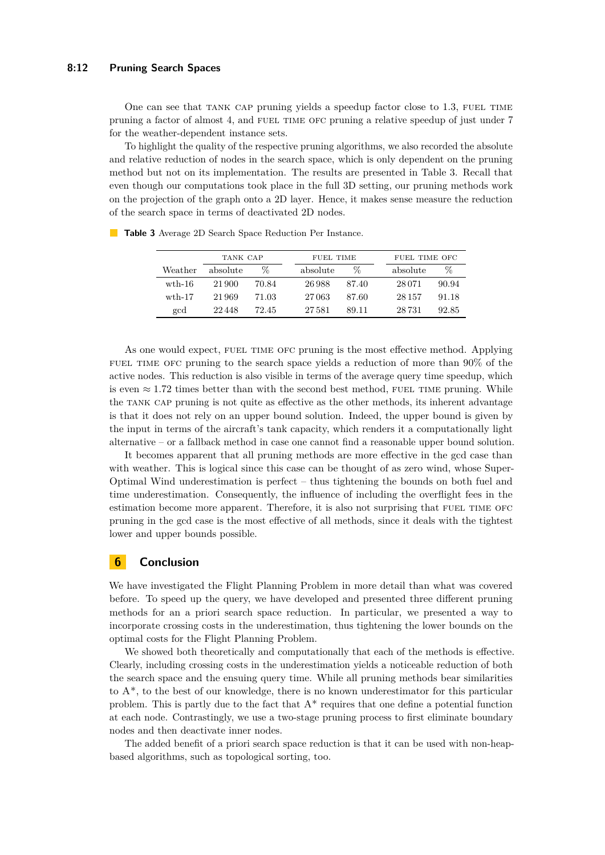### **8:12 Pruning Search Spaces**

One can see that TANK CAP pruning yields a speedup factor close to 1.3, FUEL TIME pruning a factor of almost 4, and FUEL TIME OFC pruning a relative speedup of just under 7 for the weather-dependent instance sets.

To highlight the quality of the respective pruning algorithms, we also recorded the absolute and relative reduction of nodes in the search space, which is only dependent on the pruning method but not on its implementation. The results are presented in Table [3.](#page-11-0) Recall that even though our computations took place in the full 3D setting, our pruning methods work on the projection of the graph onto a 2D layer. Hence, it makes sense measure the reduction of the search space in terms of deactivated 2D nodes.

|                  | TANK CAP |       |  | FUEL TIME |       |  | FUEL TIME OFC |       |  |
|------------------|----------|-------|--|-----------|-------|--|---------------|-------|--|
| Weather          | absolute | Z     |  | absolute  | ℅     |  | absolute      | %     |  |
| $\text{with}-16$ | 21.900   | 70.84 |  | 26988     | 87.40 |  | 28 0 71       | 90.94 |  |
| $\text{wth-17}$  | 21969    | 71.03 |  | 27063     | 87.60 |  | 28 15 7       | 91.18 |  |
| gcd              | 22448    | 72.45 |  | 27.581    | 89.11 |  | 28 731        | 92.85 |  |

<span id="page-11-0"></span>**Table 3** Average 2D Search Space Reduction Per Instance.

As one would expect, FUEL TIME OFC pruning is the most effective method. Applying FUEL TIME OFC pruning to the search space yields a reduction of more than 90% of the active nodes. This reduction is also visible in terms of the average query time speedup, which is even  $\approx 1.72$  times better than with the second best method, FUEL TIME pruning. While the tank cap pruning is not quite as effective as the other methods, its inherent advantage is that it does not rely on an upper bound solution. Indeed, the upper bound is given by the input in terms of the aircraft's tank capacity, which renders it a computationally light alternative – or a fallback method in case one cannot find a reasonable upper bound solution.

It becomes apparent that all pruning methods are more effective in the gcd case than with weather. This is logical since this case can be thought of as zero wind, whose Super-Optimal Wind underestimation is perfect – thus tightening the bounds on both fuel and time underestimation. Consequently, the influence of including the overflight fees in the estimation become more apparent. Therefore, it is also not surprising that FUEL TIME OFC pruning in the gcd case is the most effective of all methods, since it deals with the tightest lower and upper bounds possible.

## **6 Conclusion**

We have investigated the Flight Planning Problem in more detail than what was covered before. To speed up the query, we have developed and presented three different pruning methods for an a priori search space reduction. In particular, we presented a way to incorporate crossing costs in the underestimation, thus tightening the lower bounds on the optimal costs for the Flight Planning Problem.

We showed both theoretically and computationally that each of the methods is effective. Clearly, including crossing costs in the underestimation yields a noticeable reduction of both the search space and the ensuing query time. While all pruning methods bear similarities to A\*, to the best of our knowledge, there is no known underestimator for this particular problem. This is partly due to the fact that  $A^*$  requires that one define a potential function at each node. Contrastingly, we use a two-stage pruning process to first eliminate boundary nodes and then deactivate inner nodes.

The added benefit of a priori search space reduction is that it can be used with non-heapbased algorithms, such as topological sorting, too.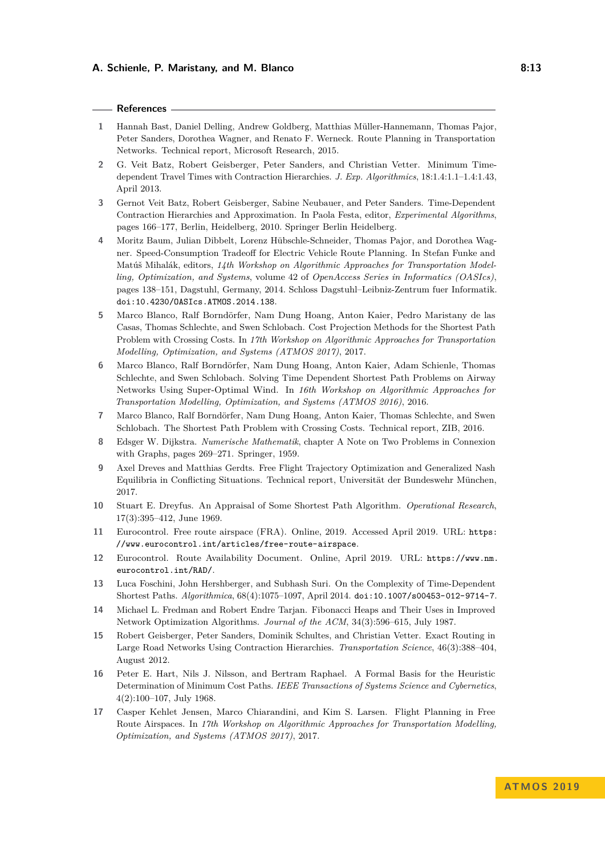#### **References**

- <span id="page-12-3"></span>**1** Hannah Bast, Daniel Delling, Andrew Goldberg, Matthias Müller-Hannemann, Thomas Pajor, Peter Sanders, Dorothea Wagner, and Renato F. Werneck. Route Planning in Transportation Networks. Technical report, Microsoft Research, 2015.
- <span id="page-12-6"></span>**2** G. Veit Batz, Robert Geisberger, Peter Sanders, and Christian Vetter. Minimum Timedependent Travel Times with Contraction Hierarchies. *J. Exp. Algorithmics*, 18:1.4:1.1–1.4:1.43, April 2013.
- <span id="page-12-14"></span>**3** Gernot Veit Batz, Robert Geisberger, Sabine Neubauer, and Peter Sanders. Time-Dependent Contraction Hierarchies and Approximation. In Paola Festa, editor, *Experimental Algorithms*, pages 166–177, Berlin, Heidelberg, 2010. Springer Berlin Heidelberg.
- <span id="page-12-13"></span>**4** Moritz Baum, Julian Dibbelt, Lorenz Hübschle-Schneider, Thomas Pajor, and Dorothea Wagner. Speed-Consumption Tradeoff for Electric Vehicle Route Planning. In Stefan Funke and Matúš Mihalák, editors, *14th Workshop on Algorithmic Approaches for Transportation Modelling, Optimization, and Systems*, volume 42 of *OpenAccess Series in Informatics (OASIcs)*, pages 138–151, Dagstuhl, Germany, 2014. Schloss Dagstuhl–Leibniz-Zentrum fuer Informatik. [doi:10.4230/OASIcs.ATMOS.2014.138](https://doi.org/10.4230/OASIcs.ATMOS.2014.138).
- <span id="page-12-11"></span>**5** Marco Blanco, Ralf Borndörfer, Nam Dung Hoang, Anton Kaier, Pedro Maristany de las Casas, Thomas Schlechte, and Swen Schlobach. Cost Projection Methods for the Shortest Path Problem with Crossing Costs. In *17th Workshop on Algorithmic Approaches for Transportation Modelling, Optimization, and Systems (ATMOS 2017)*, 2017.
- <span id="page-12-7"></span>**6** Marco Blanco, Ralf Borndörfer, Nam Dung Hoang, Anton Kaier, Adam Schienle, Thomas Schlechte, and Swen Schlobach. Solving Time Dependent Shortest Path Problems on Airway Networks Using Super-Optimal Wind. In *16th Workshop on Algorithmic Approaches for Transportation Modelling, Optimization, and Systems (ATMOS 2016)*, 2016.
- <span id="page-12-10"></span>**7** Marco Blanco, Ralf Borndörfer, Nam Dung Hoang, Anton Kaier, Thomas Schlechte, and Swen Schlobach. The Shortest Path Problem with Crossing Costs. Technical report, ZIB, 2016.
- <span id="page-12-1"></span>**8** Edsger W. Dijkstra. *Numerische Mathematik*, chapter A Note on Two Problems in Connexion with Graphs, pages 269–271. Springer, 1959.
- <span id="page-12-12"></span>**9** Axel Dreves and Matthias Gerdts. Free Flight Trajectory Optimization and Generalized Nash Equilibria in Conflicting Situations. Technical report, Universität der Bundeswehr München, 2017.
- <span id="page-12-2"></span>**10** Stuart E. Dreyfus. An Appraisal of Some Shortest Path Algorithm. *Operational Research*, 17(3):395–412, June 1969.
- <span id="page-12-9"></span>**11** Eurocontrol. Free route airspace (FRA). Online, 2019. Accessed April 2019. URL: [https:](https://www.eurocontrol.int/articles/free-route-airspace) [//www.eurocontrol.int/articles/free-route-airspace](https://www.eurocontrol.int/articles/free-route-airspace).
- <span id="page-12-0"></span>**12** Eurocontrol. Route Availability Document. Online, April 2019. URL: [https://www.nm.](https://www.nm.eurocontrol.int/RAD/) [eurocontrol.int/RAD/](https://www.nm.eurocontrol.int/RAD/).
- <span id="page-12-16"></span>**13** Luca Foschini, John Hershberger, and Subhash Suri. On the Complexity of Time-Dependent Shortest Paths. *Algorithmica*, 68(4):1075–1097, April 2014. [doi:10.1007/s00453-012-9714-7](https://doi.org/10.1007/s00453-012-9714-7).
- <span id="page-12-15"></span>**14** Michael L. Fredman and Robert Endre Tarjan. Fibonacci Heaps and Their Uses in Improved Network Optimization Algorithms. *Journal of the ACM*, 34(3):596–615, July 1987.
- <span id="page-12-5"></span>**15** Robert Geisberger, Peter Sanders, Dominik Schultes, and Christian Vetter. Exact Routing in Large Road Networks Using Contraction Hierarchies. *Transportation Science*, 46(3):388–404, August 2012.
- <span id="page-12-4"></span>**16** Peter E. Hart, Nils J. Nilsson, and Bertram Raphael. A Formal Basis for the Heuristic Determination of Minimum Cost Paths. *IEEE Transactions of Systems Science and Cybernetics*, 4(2):100–107, July 1968.
- <span id="page-12-8"></span>**17** Casper Kehlet Jensen, Marco Chiarandini, and Kim S. Larsen. Flight Planning in Free Route Airspaces. In *17th Workshop on Algorithmic Approaches for Transportation Modelling, Optimization, and Systems (ATMOS 2017)*, 2017.